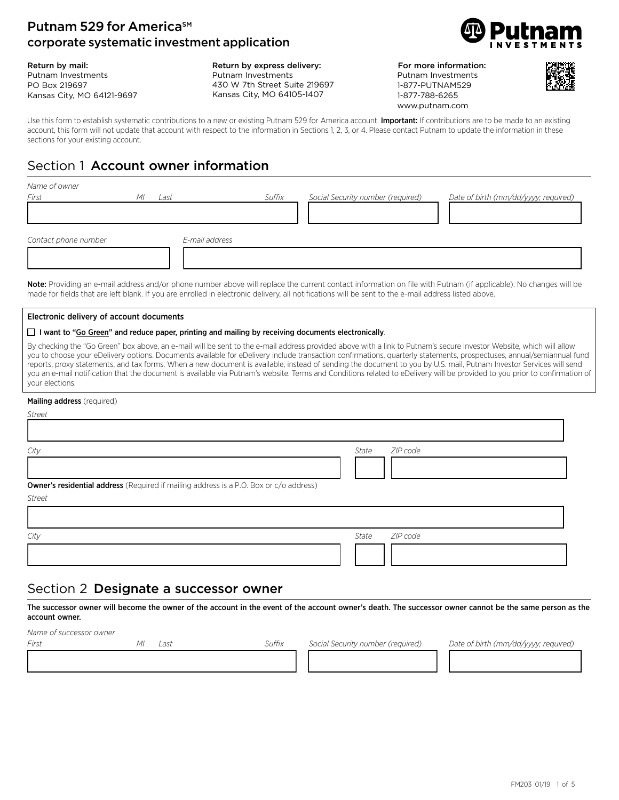### Putnam 529 for America<sup>SM</sup> corporate systematic investment application

Return by mail: Putnam Investments PO Box 219697 Kansas City, MO 64121-9697

Return by express delivery: Putnam Investments 430 W 7th Street Suite 219697 Kansas City, MO 64105-1407



For more information: Putnam Investments 1-877-PUTNAM529 1-877-788-6265 www.putnam.com



Use this form to establish systematic contributions to a new or existing Putnam 529 for America account. Important: If contributions are to be made to an existing account, this form will not update that account with respect to the information in Sections 1, 2, 3, or 4. Please contact Putnam to update the information in these sections for your existing account.

# Section 1 Account owner information

| Name of owner        |            |                |        |                                   |                                      |
|----------------------|------------|----------------|--------|-----------------------------------|--------------------------------------|
| First                | MI<br>Last |                | Suffix | Social Security number (required) | Date of birth (mm/dd/yyyy; required) |
|                      |            |                |        |                                   |                                      |
| Contact phone number |            | E-mail address |        |                                   |                                      |
|                      |            |                |        |                                   |                                      |

Note: Providing an e-mail address and/or phone number above will replace the current contact information on file with Putnam (if applicable). No changes will be made for fields that are left blank. If you are enrolled in electronic delivery, all notifications will be sent to the e-mail address listed above.

#### Electronic delivery of account documents

#### $\Box$  I want to "Go Green" and reduce paper, printing and mailing by receiving documents electronically.

By checking the "Go Green" box above, an e-mail will be sent to the e-mail address provided above with a link to Putnam's secure Investor Website, which will allow you to choose your eDelivery options. Documents available for eDelivery include transaction confirmations, quarterly statements, prospectuses, annual/semiannual fund reports, proxy statements, and tax forms. When a new document is available, instead of sending the document to you by U.S. mail, Putnam Investor Services will send you an e-mail notification that the document is available via Putnam's website. Terms and Conditions related to eDelivery will be provided to you prior to confirmation of your elections.

#### Mailing address (required)

| - | . .<br>۰. |  |
|---|-----------|--|
|   |           |  |

| ZIP code<br>State |
|-------------------|
|                   |
|                   |
| ZIP code<br>State |
|                   |

### Section 2 Designate a successor owner

The successor owner will become the owner of the account in the event of the account owner's death. The successor owner cannot be the same person as the account owner.

13333332323333333234 1333333334 1333333334

*Name of successor owner*

*First MI Last Suffix Social Security number (required) Date of birth (mm/dd/yyyy; required)*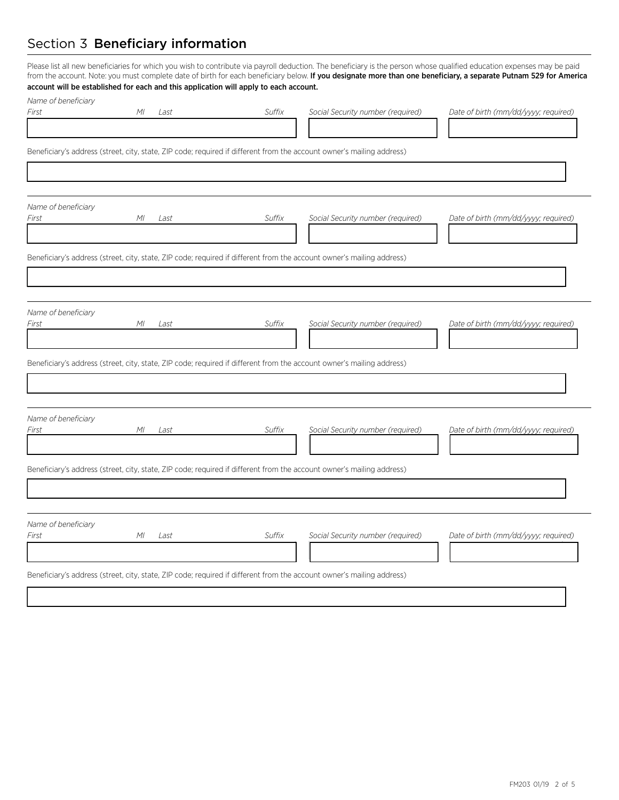## Section 3 Beneficiary information

Please list all new beneficiaries for which you wish to contribute via payroll deduction. The beneficiary is the person whose qualified education expenses may be paid from the account. Note: you must complete date of birth for each beneficiary below. If you designate more than one beneficiary, a separate Putnam 529 for America account will be established for each and this application will apply to each account.

| Name of beneficiary          |            |        |                                                                                                                       |                                      |
|------------------------------|------------|--------|-----------------------------------------------------------------------------------------------------------------------|--------------------------------------|
| First                        | ΜI<br>Last | Suffix | Social Security number (required)                                                                                     | Date of birth (mm/dd/yyyy; required) |
|                              |            |        |                                                                                                                       |                                      |
|                              |            |        | Beneficiary's address (street, city, state, ZIP code; required if different from the account owner's mailing address) |                                      |
|                              |            |        |                                                                                                                       |                                      |
|                              |            |        |                                                                                                                       |                                      |
| Name of beneficiary<br>First | ΜI<br>Last | Suffix | Social Security number (required)                                                                                     | Date of birth (mm/dd/yyyy; required) |
|                              |            |        |                                                                                                                       |                                      |
|                              |            |        | Beneficiary's address (street, city, state, ZIP code; required if different from the account owner's mailing address) |                                      |
|                              |            |        |                                                                                                                       |                                      |
| Name of beneficiary          |            |        |                                                                                                                       |                                      |
| First                        | ΜI<br>Last | Suffix | Social Security number (required)                                                                                     | Date of birth (mm/dd/yyyy; required) |
|                              |            |        |                                                                                                                       |                                      |
|                              |            |        | Beneficiary's address (street, city, state, ZIP code; required if different from the account owner's mailing address) |                                      |
|                              |            |        |                                                                                                                       |                                      |
| Name of beneficiary          |            |        |                                                                                                                       |                                      |
| First                        | ΜI<br>Last | Suffix | Social Security number (required)                                                                                     | Date of birth (mm/dd/yyyy; required) |
|                              |            |        |                                                                                                                       |                                      |
|                              |            |        | Beneficiary's address (street, city, state, ZIP code; required if different from the account owner's mailing address) |                                      |
|                              |            |        |                                                                                                                       |                                      |
| Name of beneficiary          |            |        |                                                                                                                       |                                      |
| First                        | M<br>Last  | Suffix | Social Security number (required)                                                                                     | Date of birth (mm/dd/yyyy; required) |
|                              |            |        |                                                                                                                       |                                      |
|                              |            |        | Beneficiary's address (street, city, state, ZIP code; required if different from the account owner's mailing address) |                                      |
|                              |            |        |                                                                                                                       |                                      |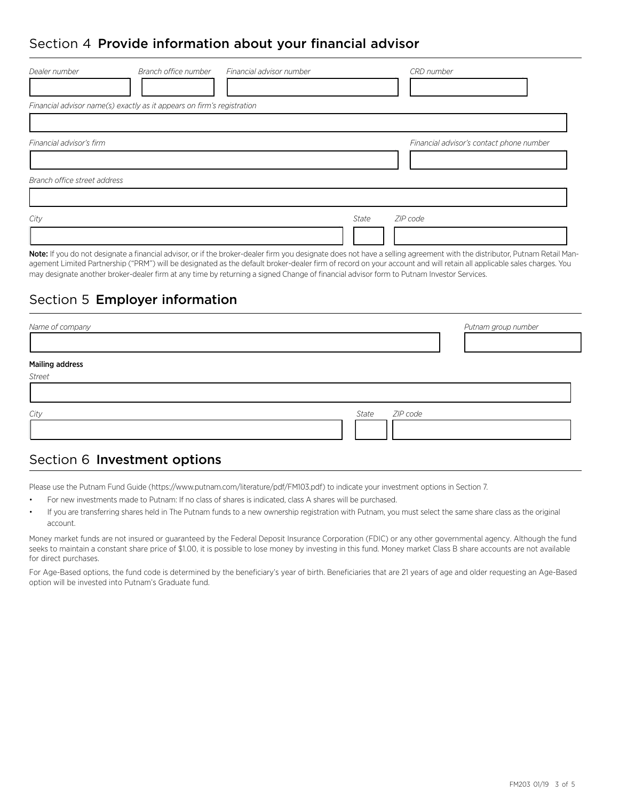## Section 4 Provide information about your financial advisor

| Dealer number                                            | Branch office number                                                   | Financial advisor number |       | CRD number                               |
|----------------------------------------------------------|------------------------------------------------------------------------|--------------------------|-------|------------------------------------------|
|                                                          | Financial advisor name(s) exactly as it appears on firm's registration |                          |       |                                          |
| Financial advisor's firm<br>Branch office street address |                                                                        |                          |       | Financial advisor's contact phone number |
|                                                          |                                                                        |                          |       |                                          |
| City                                                     |                                                                        |                          | State | ZIP code                                 |

Note: If you do not designate a financial advisor, or if the broker-dealer firm you designate does not have a selling agreement with the distributor, Putnam Retail Management Limited Partnership ("PRM") will be designated as the default broker-dealer firm of record on your account and will retain all applicable sales charges. You may designate another broker-dealer firm at any time by returning a signed Change of financial advisor form to Putnam Investor Services.

# Section 5 Employer information

| Name of company        |       |          | Putnam group number |
|------------------------|-------|----------|---------------------|
| <b>Mailing address</b> |       |          |                     |
| Street                 |       |          |                     |
| City                   | State | ZIP code |                     |

### Section 6 Investment options

Please use the Putnam Fund Guide (https://www.putnam.com/literature/pdf/FM103.pdf) to indicate your investment options in Section 7.

- For new investments made to Putnam: If no class of shares is indicated, class A shares will be purchased.
- If you are transferring shares held in The Putnam funds to a new ownership registration with Putnam, you must select the same share class as the original account.

Money market funds are not insured or guaranteed by the Federal Deposit Insurance Corporation (FDIC) or any other governmental agency. Although the fund seeks to maintain a constant share price of \$1.00, it is possible to lose money by investing in this fund. Money market Class B share accounts are not available for direct purchases.

For Age-Based options, the fund code is determined by the beneficiary's year of birth. Beneficiaries that are 21 years of age and older requesting an Age-Based option will be invested into Putnam's Graduate fund.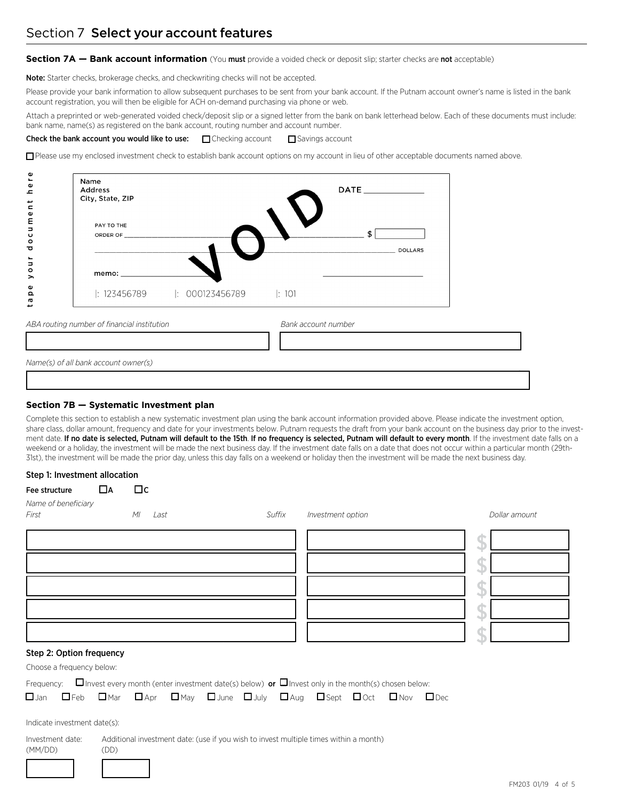#### **Section 7A — Bank account information** (You must provide a voided check or deposit slip; starter checks are not acceptable)

Note: Starter checks, brokerage checks, and checkwriting checks will not be accepted.

Please provide your bank information to allow subsequent purchases to be sent from your bank account. If the Putnam account owner's name is listed in the bank account registration, you will then be eligible for ACH on-demand purchasing via phone or web.

Attach a preprinted or web-generated voided check/deposit slip or a signed letter from the bank on bank letterhead below. Each of these documents must include: bank name, name(s) as registered on the bank account, routing number and account number.

Check the bank account you would like to use:  $\Box$  Checking account  $\Box$  Savings account

o Please use my enclosed investment check to establish bank account options on my account in lieu of other acceptable documents named above.

| Name<br>Address<br>City, State, ZIP |                                                       | $\mathsf{DATE} \_\_\_\_\_\_\_\_\$ |
|-------------------------------------|-------------------------------------------------------|-----------------------------------|
| PAY TO THE                          |                                                       | <b>DOLLARS</b>                    |
|                                     |                                                       |                                   |
|                                     | $\mid$ : 123456789 $\mid$ : 000123456789 $\mid$ : 101 |                                   |

133333333333333333333333333333333334

*Name(s) of all bank account owner(s)*

#### **Section 7B — Systematic Investment plan**

Complete this section to establish a new systematic investment plan using the bank account information provided above. Please indicate the investment option, share class, dollar amount, frequency and date for your investments below. Putnam requests the draft from your bank account on the business day prior to the investment date. If no date is selected, Putnam will default to the 15th. If no frequency is selected, Putnam will default to every month. If the investment date falls on a weekend or a holiday, the investment will be made the next business day. If the investment date falls on a date that does not occur within a particular month (29th-31st), the investment will be made the prior day, unless this day falls on a weekend or holiday then the investment will be made the next business day.

#### Step 1: Investment allocation

| Fee structure                | ПA | $\Box$ c |      |        |                   |  |               |
|------------------------------|----|----------|------|--------|-------------------|--|---------------|
| Name of beneficiary<br>First |    | M        | Last | Suffix | Investment option |  | Dollar amount |
|                              |    |          |      |        |                   |  |               |
|                              |    |          |      |        |                   |  |               |
|                              |    |          |      |        |                   |  |               |
|                              |    |          |      |        |                   |  |               |
|                              |    |          |      |        |                   |  |               |

#### Step 2: Option frequency

Choose a frequency below:

|  | Frequency: $\Box$ Invest every month (enter investment date(s) below) or $\Box$ Invest only in the month(s) chosen below:              |  |  |  |  |
|--|----------------------------------------------------------------------------------------------------------------------------------------|--|--|--|--|
|  | $\Box$ Jan $\Box$ Feb $\Box$ Mar $\Box$ Apr $\Box$ May $\Box$ June $\Box$ July $\Box$ Aug $\Box$ Sept $\Box$ Oct $\Box$ Nov $\Box$ Dec |  |  |  |  |

Indicate investment date(s):

Investment date: Additional investment date: (use if you wish to invest multiple times within a month)

(MM/DD) (DD)

1212 124